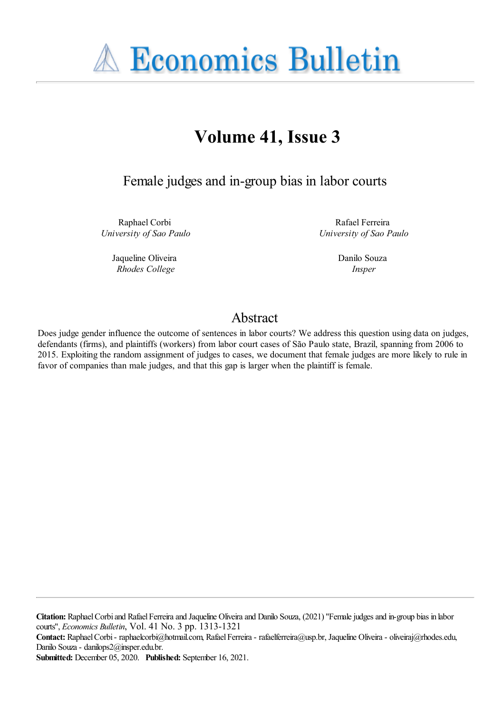**A Economics Bulletin** 

# **Volume 41, Issue 3**

Female judges and in-group bias in labor courts

Raphael Corbi *University of Sao Paulo*

> Jaqueline Oliveira *Rhodes College*

Rafael Ferreira *University of Sao Paulo*

> Danilo Souza *Insper*

## Abstract

Does judge gender influence the outcome of sentences in labor courts? We address this question using data on judges, defendants (firms), and plaintiffs (workers) from labor court cases of São Paulo state, Brazil, spanning from 2006 to 2015. Exploiting the random assignment of judges to cases, we document that female judges are more likely to rule in favor of companies than male judges, and that this gap is larger when the plaintiff is female.

Citation: Raphael Corbi and Rafael Ferreira and Jaqueline Oliveira and Danilo Souza, (2021) "Female judges and in-group bias in labor courts'', *Economics Bulletin*, Vol. 41 No. 3 pp. 1313-1321

**Contact:** RaphaelCorbi- raphaelcorbi@hotmail.com, RafaelFerreira- rafaelferreira@usp.br, Jaqueline Oliveira- oliveiraj@rhodes.edu, Danilo Souza- danilops2@insper.edu.br.

**Submitted:** December 05, 2020. **Published:** September 16, 2021.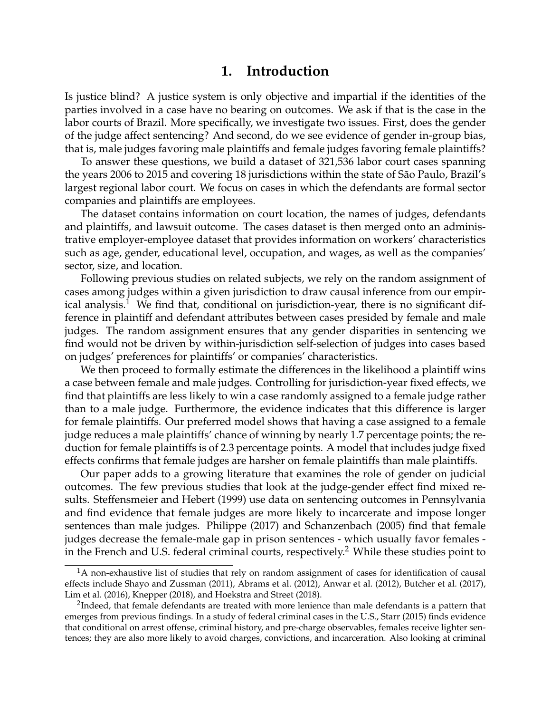#### **1. Introduction**

Is justice blind? A justice system is only objective and impartial if the identities of the parties involved in a case have no bearing on outcomes. We ask if that is the case in the labor courts of Brazil. More specifically, we investigate two issues. First, does the gender of the judge affect sentencing? And second, do we see evidence of gender in-group bias, that is, male judges favoring male plaintiffs and female judges favoring female plaintiffs?

To answer these questions, we build a dataset of 321,536 labor court cases spanning the years 2006 to 2015 and covering 18 jurisdictions within the state of São Paulo, Brazil's largest regional labor court. We focus on cases in which the defendants are formal sector companies and plaintiffs are employees.

The dataset contains information on court location, the names of judges, defendants and plaintiffs, and lawsuit outcome. The cases dataset is then merged onto an administrative employer-employee dataset that provides information on workers' characteristics such as age, gender, educational level, occupation, and wages, as well as the companies' sector, size, and location.

Following previous studies on related subjects, we rely on the random assignment of cases among judges within a given jurisdiction to draw causal inference from our empir-ical analysis.<sup>[1](#page-1-0)</sup> We find that, conditional on jurisdiction-year, there is no significant difference in plaintiff and defendant attributes between cases presided by female and male judges. The random assignment ensures that any gender disparities in sentencing we find would not be driven by within-jurisdiction self-selection of judges into cases based on judges' preferences for plaintiffs' or companies' characteristics.

We then proceed to formally estimate the differences in the likelihood a plaintiff wins a case between female and male judges. Controlling for jurisdiction-year fixed effects, we find that plaintiffs are less likely to win a case randomly assigned to a female judge rather than to a male judge. Furthermore, the evidence indicates that this difference is larger for female plaintiffs. Our preferred model shows that having a case assigned to a female judge reduces a male plaintiffs' chance of winning by nearly 1.7 percentage points; the reduction for female plaintiffs is of 2.3 percentage points. A model that includes judge fixed effects confirms that female judges are harsher on female plaintiffs than male plaintiffs.

Our paper adds to a growing literature that examines the role of gender on judicial outcomes. The few previous studies that look at the judge-gender effect find mixed results. Steffensmeier and Hebert (1999) use data on sentencing outcomes in Pennsylvania and find evidence that female judges are more likely to incarcerate and impose longer sentences than male judges. Philippe (2017) and Schanzenbach (2005) find that female judges decrease the female-male gap in prison sentences - which usually favor females - in the French and U.S. federal criminal courts, respectively.<sup>[2](#page-1-1)</sup> While these studies point to

<span id="page-1-0"></span><sup>&</sup>lt;sup>1</sup>A non-exhaustive list of studies that rely on random assignment of cases for identification of causal effects include Shayo and Zussman (2011), Abrams et al. (2012), Anwar et al. (2012), Butcher et al. (2017), Lim et al. (2016), Knepper (2018), and Hoekstra and Street (2018).

<span id="page-1-1"></span> $^{2}$ Indeed, that female defendants are treated with more lenience than male defendants is a pattern that emerges from previous findings. In a study of federal criminal cases in the U.S., Starr (2015) finds evidence that conditional on arrest offense, criminal history, and pre-charge observables, females receive lighter sentences; they are also more likely to avoid charges, convictions, and incarceration. Also looking at criminal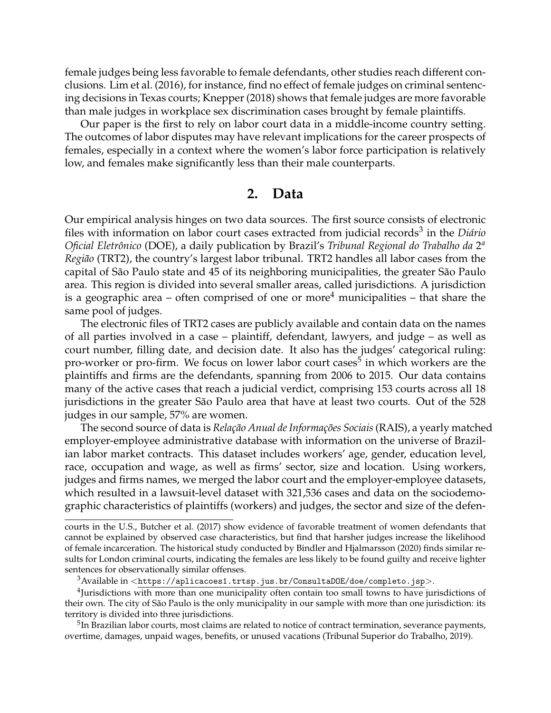female judges being less favorable to female defendants, other studies reach different conclusions. Lim et al. (2016), for instance, find no effect of female judges on criminal sentencing decisions in Texas courts; Knepper (2018) shows that female judges are more favorable than male judges in workplace sex discrimination cases brought by female plaintiffs.

Our paper is the first to rely on labor court data in a middle-income country setting. The outcomes of labor disputes may have relevant implications for the career prospects of females, especially in a context where the women's labor force participation is relatively low, and females make significantly less than their male counterparts.

#### **2. Data**

Our empirical analysis hinges on two data sources. The first source consists of electronic files with information on labor court cases extracted from judicial records<sup>[3](#page-2-0)</sup> in the *Diário Oficial Eletrônico* (DOE), a daily publication by Brazil's *Tribunal Regional do Trabalho da* 2 *a Região* (TRT2), the country's largest labor tribunal. TRT2 handles all labor cases from the capital of São Paulo state and 45 of its neighboring municipalities, the greater São Paulo area. This region is divided into several smaller areas, called jurisdictions. A jurisdiction is a geographic area – often comprised of one or more<sup>[4](#page-2-1)</sup> municipalities – that share the same pool of judges.

The electronic files of TRT2 cases are publicly available and contain data on the names of all parties involved in a case – plaintiff, defendant, lawyers, and judge – as well as court number, filling date, and decision date. It also has the judges' categorical ruling: pro-worker or pro-firm. We focus on lower labor court cases<sup>[5](#page-2-2)</sup> in which workers are the plaintiffs and firms are the defendants, spanning from 2006 to 2015. Our data contains many of the active cases that reach a judicial verdict, comprising 153 courts across all 18 jurisdictions in the greater São Paulo area that have at least two courts. Out of the 528 judges in our sample, 57% are women.

The second source of data is *Relação Anual de Informações Sociais*(RAIS), a yearly matched employer-employee administrative database with information on the universe of Brazilian labor market contracts. This dataset includes workers' age, gender, education level, race, occupation and wage, as well as firms' sector, size and location. Using workers, judges and firms names, we merged the labor court and the employer-employee datasets, which resulted in a lawsuit-level dataset with 321,536 cases and data on the sociodemographic characteristics of plaintiffs (workers) and judges, the sector and size of the defen-

<span id="page-2-1"></span><span id="page-2-0"></span> $3A$ vailable in  $\langle$ <https://aplicacoes1.trtsp.jus.br/ConsultaDOE/doe/completo.jsp>>.

<sup>4</sup>Jurisdictions with more than one municipality often contain too small towns to have jurisdictions of their own. The city of São Paulo is the only municipality in our sample with more than one jurisdiction: its territory is divided into three jurisdictions.

<span id="page-2-2"></span> $^5$ In Brazilian labor courts, most claims are related to notice of contract termination, severance payments, overtime, damages, unpaid wages, benefits, or unused vacations (Tribunal Superior do Trabalho, 2019).

courts in the U.S., Butcher et al. (2017) show evidence of favorable treatment of women defendants that cannot be explained by observed case characteristics, but find that harsher judges increase the likelihood of female incarceration. The historical study conducted by Bindler and Hjalmarsson (2020) finds similar results for London criminal courts, indicating the females are less likely to be found guilty and receive lighter sentences for observationally similar offenses.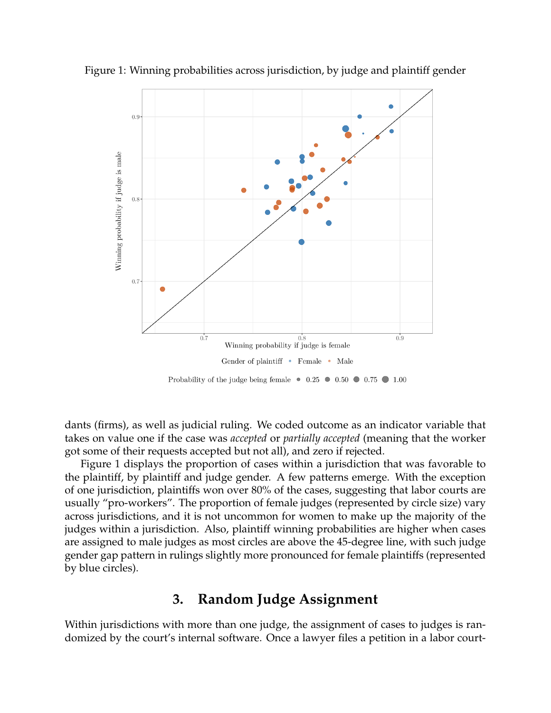

<span id="page-3-0"></span>Figure 1: Winning probabilities across jurisdiction, by judge and plaintiff gender

dants (firms), as well as judicial ruling. We coded outcome as an indicator variable that takes on value one if the case was *accepted* or *partially accepted* (meaning that the worker got some of their requests accepted but not all), and zero if rejected.

Figure [1](#page-3-0) displays the proportion of cases within a jurisdiction that was favorable to the plaintiff, by plaintiff and judge gender. A few patterns emerge. With the exception of one jurisdiction, plaintiffs won over 80% of the cases, suggesting that labor courts are usually "pro-workers". The proportion of female judges (represented by circle size) vary across jurisdictions, and it is not uncommon for women to make up the majority of the judges within a jurisdiction. Also, plaintiff winning probabilities are higher when cases are assigned to male judges as most circles are above the 45-degree line, with such judge gender gap pattern in rulings slightly more pronounced for female plaintiffs (represented by blue circles).

## **3. Random Judge Assignment**

Within jurisdictions with more than one judge, the assignment of cases to judges is randomized by the court's internal software. Once a lawyer files a petition in a labor court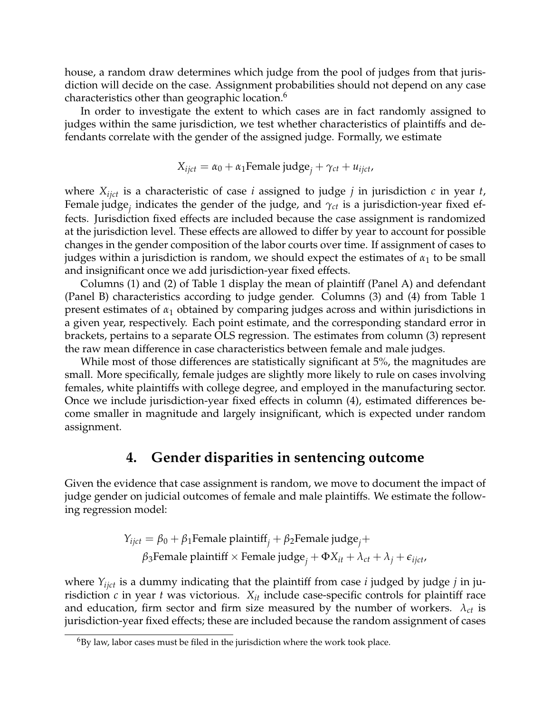house, a random draw determines which judge from the pool of judges from that jurisdiction will decide on the case. Assignment probabilities should not depend on any case characteristics other than geographic location.<sup>[6](#page-4-0)</sup>

In order to investigate the extent to which cases are in fact randomly assigned to judges within the same jurisdiction, we test whether characteristics of plaintiffs and defendants correlate with the gender of the assigned judge. Formally, we estimate

$$
X_{ijct} = \alpha_0 + \alpha_1
$$
Female judge<sub>j</sub> +  $\gamma_{ct}$  +  $u_{ijct}$ ,

where *Xijct* is a characteristic of case *i* assigned to judge *j* in jurisdiction *c* in year *t*, Female judge*<sup>j</sup>* indicates the gender of the judge, and *γct* is a jurisdiction-year fixed effects. Jurisdiction fixed effects are included because the case assignment is randomized at the jurisdiction level. These effects are allowed to differ by year to account for possible changes in the gender composition of the labor courts over time. If assignment of cases to judges within a jurisdiction is random, we should expect the estimates of  $\alpha_1$  to be small and insignificant once we add jurisdiction-year fixed effects.

Columns (1) and (2) of Table 1 display the mean of plaintiff (Panel A) and defendant (Panel B) characteristics according to judge gender. Columns (3) and (4) from Table 1 present estimates of *α*<sup>1</sup> obtained by comparing judges across and within jurisdictions in a given year, respectively. Each point estimate, and the corresponding standard error in brackets, pertains to a separate OLS regression. The estimates from column (3) represent the raw mean difference in case characteristics between female and male judges.

While most of those differences are statistically significant at 5%, the magnitudes are small. More specifically, female judges are slightly more likely to rule on cases involving females, white plaintiffs with college degree, and employed in the manufacturing sector. Once we include jurisdiction-year fixed effects in column (4), estimated differences become smaller in magnitude and largely insignificant, which is expected under random assignment.

### **4. Gender disparities in sentencing outcome**

Given the evidence that case assignment is random, we move to document the impact of judge gender on judicial outcomes of female and male plaintiffs. We estimate the following regression model:

$$
Y_{ijct} = \beta_0 + \beta_1
$$
Female plaintiff<sub>j</sub> +  $\beta_2$ Female judge<sub>j</sub> +  
 $\beta_3$ Female plaintiff × Female judge<sub>j</sub> +  $\Phi X_{it} + \lambda_{ct} + \lambda_j + \epsilon_{ijct}$ ,

where *Yijct* is a dummy indicating that the plaintiff from case *i* judged by judge *j* in jurisdiction  $c$  in year  $t$  was victorious.  $X_{it}$  include case-specific controls for plaintiff race and education, firm sector and firm size measured by the number of workers.  $\lambda_{ct}$  is jurisdiction-year fixed effects; these are included because the random assignment of cases

<span id="page-4-0"></span> $6By$  law, labor cases must be filed in the jurisdiction where the work took place.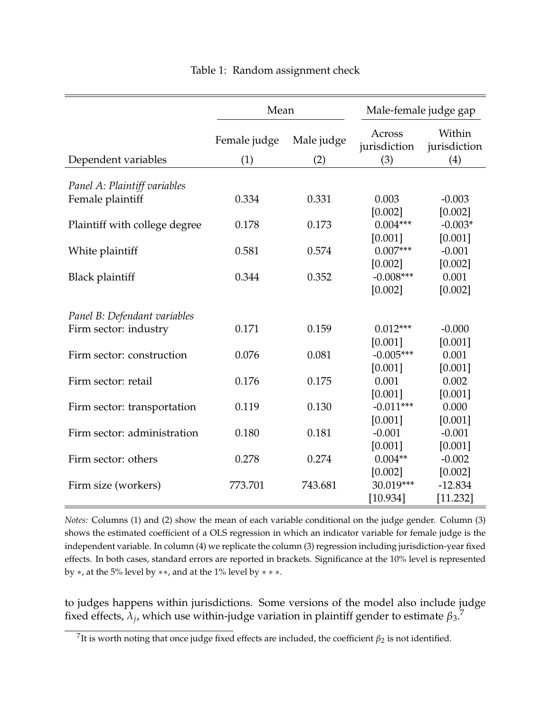|                               | Mean                |                   | Male-female judge gap         |                               |  |
|-------------------------------|---------------------|-------------------|-------------------------------|-------------------------------|--|
| Dependent variables           | Female judge<br>(1) | Male judge<br>(2) | Across<br>jurisdiction<br>(3) | Within<br>jurisdiction<br>(4) |  |
|                               |                     |                   |                               |                               |  |
| Panel A: Plaintiff variables  | 0.334               | 0.331             | 0.003                         |                               |  |
| Female plaintiff              |                     |                   |                               | $-0.003$                      |  |
|                               | 0.178               | 0.173             | [0.002]<br>$0.004***$         | [0.002]<br>$-0.003*$          |  |
| Plaintiff with college degree |                     |                   | [0.001]                       | [0.001]                       |  |
| White plaintiff               | 0.581               | 0.574             | $0.007***$                    | $-0.001$                      |  |
|                               |                     |                   | [0.002]                       | [0.002]                       |  |
| <b>Black plaintiff</b>        | 0.344               | 0.352             | $-0.008***$                   | 0.001                         |  |
|                               |                     |                   | [0.002]                       | [0.002]                       |  |
| Panel B: Defendant variables  |                     |                   |                               |                               |  |
| Firm sector: industry         | 0.171               | 0.159             | $0.012***$                    | $-0.000$                      |  |
|                               |                     |                   | [0.001]                       | [0.001]                       |  |
| Firm sector: construction     | 0.076               | 0.081             | $-0.005***$                   | 0.001                         |  |
|                               |                     |                   | [0.001]                       | [0.001]                       |  |
| Firm sector: retail           | 0.176               | 0.175             | 0.001                         | 0.002                         |  |
|                               |                     |                   | [0.001]                       | [0.001]                       |  |
| Firm sector: transportation   | 0.119               | 0.130             | $-0.011***$                   | 0.000                         |  |
|                               |                     |                   | [0.001]                       | [0.001]                       |  |
| Firm sector: administration   | 0.180               | 0.181             | $-0.001$                      | $-0.001$                      |  |
|                               |                     |                   | [0.001]                       | [0.001]                       |  |
| Firm sector: others           | 0.278               | 0.274             | $0.004**$                     | $-0.002$                      |  |
|                               |                     |                   | [0.002]                       | [0.002]                       |  |
| Firm size (workers)           | 773.701             | 743.681           | 30.019***                     | $-12.834$                     |  |
|                               |                     |                   | [10.934]                      | [11.232]                      |  |

#### Table 1: Random assignment check

*Notes:* Columns (1) and (2) show the mean of each variable conditional on the judge gender. Column (3) shows the estimated coefficient of a OLS regression in which an indicator variable for female judge is the independent variable. In column (4) we replicate the column (3) regression including jurisdiction-year fixed effects. In both cases, standard errors are reported in brackets. Significance at the 10% level is represented by  $*$ , at the 5% level by  $**$ , and at the 1% level by  $**$ .

to judges happens within jurisdictions. Some versions of the model also include judge fixed effects,  $\lambda_j$ , which use within-judge variation in plaintiff gender to estimate  $β_3$ .<sup>[7](#page-5-0)</sup>

<span id="page-5-0"></span> $^{7}$ It is worth noting that once judge fixed effects are included, the coefficient  $\beta_2$  is not identified.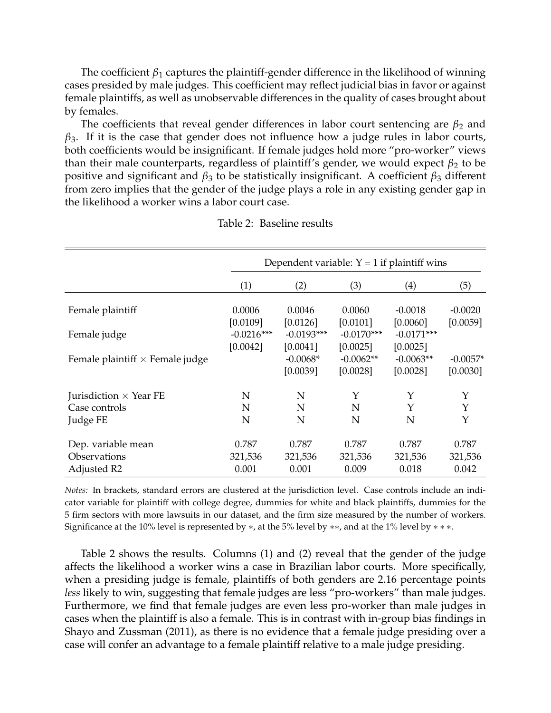The coefficient *β*<sup>1</sup> captures the plaintiff-gender difference in the likelihood of winning cases presided by male judges. This coefficient may reflect judicial bias in favor or against female plaintiffs, as well as unobservable differences in the quality of cases brought about by females.

The coefficients that reveal gender differences in labor court sentencing are  $\beta_2$  and  $\beta_3$ . If it is the case that gender does not influence how a judge rules in labor courts, both coefficients would be insignificant. If female judges hold more "pro-worker" views than their male counterparts, regardless of plaintiff's gender, we would expect  $\beta_2$  to be positive and significant and *β*<sup>3</sup> to be statistically insignificant. A coefficient *β*<sup>3</sup> different from zero implies that the gender of the judge plays a role in any existing gender gap in the likelihood a worker wins a labor court case.

<span id="page-6-0"></span>

|                                        | Dependent variable: $Y = 1$ if plaintiff wins |                          |                          |                          |            |  |
|----------------------------------------|-----------------------------------------------|--------------------------|--------------------------|--------------------------|------------|--|
|                                        | (1)                                           | (2)                      | (3)                      | $\left( 4\right)$        | (5)        |  |
| Female plaintiff                       | 0.0006                                        | 0.0046                   | 0.0060                   | $-0.0018$                | $-0.0020$  |  |
| Female judge                           | [0.0109]<br>$-0.0216***$                      | [0.0126]<br>$-0.0193***$ | [0.0101]<br>$-0.0170***$ | [0.0060]<br>$-0.0171***$ | [0.0059]   |  |
| Female plaintiff $\times$ Female judge | [0.0042]                                      | [0.0041]<br>$-0.0068*$   | [0.0025]<br>$-0.0062**$  | [0.0025]<br>$-0.0063**$  | $-0.0057*$ |  |
|                                        |                                               | [0.0039]                 | [0.0028]                 | [0.0028]                 | [0.0030]   |  |
| Jurisdiction $\times$ Year FE          | N                                             | N                        | Y                        | Y                        | Y          |  |
| Case controls                          | N                                             | N                        | N                        | Υ                        | Υ          |  |
| Judge FE                               | N                                             | N                        | N                        | N                        | Y          |  |
| Dep. variable mean                     | 0.787                                         | 0.787                    | 0.787                    | 0.787                    | 0.787      |  |
| Observations                           | 321,536                                       | 321,536                  | 321,536                  | 321,536                  | 321,536    |  |
| Adjusted R2                            | 0.001                                         | 0.001                    | 0.009                    | 0.018                    | 0.042      |  |

*Notes:* In brackets, standard errors are clustered at the jurisdiction level. Case controls include an indicator variable for plaintiff with college degree, dummies for white and black plaintiffs, dummies for the 5 firm sectors with more lawsuits in our dataset, and the firm size measured by the number of workers. Significance at the 10% level is represented by  $*$ , at the 5% level by  $**$ , and at the 1% level by  $***$ .

Table [2](#page-6-0) shows the results. Columns (1) and (2) reveal that the gender of the judge affects the likelihood a worker wins a case in Brazilian labor courts. More specifically, when a presiding judge is female, plaintiffs of both genders are 2.16 percentage points *less* likely to win, suggesting that female judges are less "pro-workers" than male judges. Furthermore, we find that female judges are even less pro-worker than male judges in cases when the plaintiff is also a female. This is in contrast with in-group bias findings in Shayo and Zussman (2011), as there is no evidence that a female judge presiding over a case will confer an advantage to a female plaintiff relative to a male judge presiding.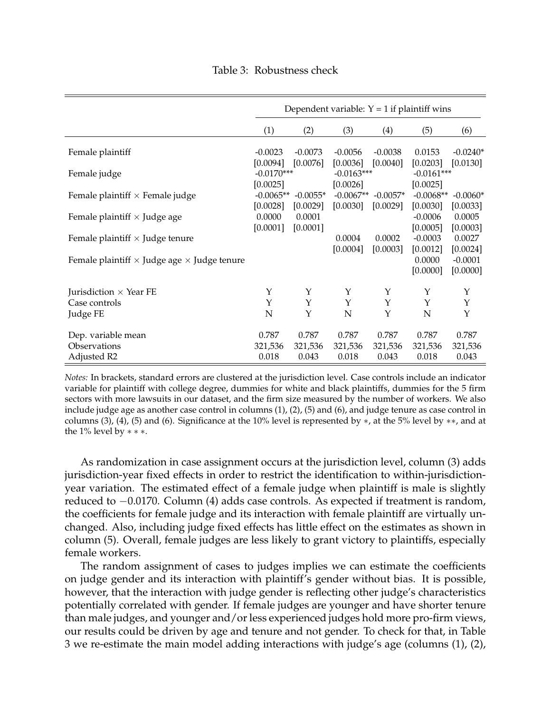<span id="page-7-0"></span>

|                                                           | Dependent variable: $Y = 1$ if plaintiff wins |                        |                          |                        |                          |                        |
|-----------------------------------------------------------|-----------------------------------------------|------------------------|--------------------------|------------------------|--------------------------|------------------------|
|                                                           | (1)                                           | (2)                    | (3)                      | (4)                    | (5)                      | (6)                    |
| Female plaintiff                                          | $-0.0023$<br>[0.0094]                         | $-0.0073$<br>[0.0076]  | $-0.0056$<br>[0.0036]    | $-0.0038$<br>[0.0040]  | 0.0153<br>[0.0203]       | $-0.0240*$<br>[0.0130] |
| Female judge                                              | $-0.0170***$<br>[0.0025]                      |                        | $-0.0163***$<br>[0.0026] |                        | $-0.0161***$<br>[0.0025] |                        |
| Female plaintiff $\times$ Female judge                    | $-0.0065**$<br>[0.0028]                       | $-0.0055*$<br>[0.0029] | $-0.0067**$<br>[0.0030]  | $-0.0057*$<br>[0.0029] | $-0.0068**$<br>[0.0030]  | $-0.0060*$<br>[0.0033] |
| Female plaintiff $\times$ Judge age                       | 0.0000<br>[0.0001]                            | 0.0001<br>[0.0001]     |                          |                        | $-0.0006$<br>[0.0005]    | 0.0005<br>[0.0003]     |
| Female plaintiff $\times$ Judge tenure                    |                                               |                        | 0.0004<br>[0.0004]       | 0.0002<br>[0.0003]     | $-0.0003$<br>[0.0012]    | 0.0027<br>[0.0024]     |
| Female plaintiff $\times$ Judge age $\times$ Judge tenure |                                               |                        |                          |                        | 0.0000<br>[0.0000]       | $-0.0001$<br>[0.0000]  |
| Jurisdiction $\times$ Year FE                             | Υ                                             | Υ                      | Υ                        | Υ                      | Y                        | Υ                      |
| Case controls                                             | Y                                             | Υ                      | Υ                        | Υ                      | Y                        | Y                      |
| Judge FE                                                  | N                                             | Y                      | N                        | Y                      | N                        | Y                      |
| Dep. variable mean<br>Observations                        | 0.787<br>321,536                              | 0.787<br>321,536       | 0.787<br>321,536         | 0.787<br>321,536       | 0.787<br>321,536         | 0.787<br>321,536       |
| Adjusted R2                                               | 0.018                                         | 0.043                  | 0.018                    | 0.043                  | 0.018                    | 0.043                  |

*Notes:* In brackets, standard errors are clustered at the jurisdiction level. Case controls include an indicator variable for plaintiff with college degree, dummies for white and black plaintiffs, dummies for the 5 firm sectors with more lawsuits in our dataset, and the firm size measured by the number of workers. We also include judge age as another case control in columns (1), (2), (5) and (6), and judge tenure as case control in columns (3), (4), (5) and (6). Significance at the 10% level is represented by  $*$ , at the 5% level by  $**$ , and at the 1% level by ∗ ∗ ∗.

As randomization in case assignment occurs at the jurisdiction level, column (3) adds jurisdiction-year fixed effects in order to restrict the identification to within-jurisdictionyear variation. The estimated effect of a female judge when plaintiff is male is slightly reduced to −0.0170. Column (4) adds case controls. As expected if treatment is random, the coefficients for female judge and its interaction with female plaintiff are virtually unchanged. Also, including judge fixed effects has little effect on the estimates as shown in column (5). Overall, female judges are less likely to grant victory to plaintiffs, especially female workers.

The random assignment of cases to judges implies we can estimate the coefficients on judge gender and its interaction with plaintiff's gender without bias. It is possible, however, that the interaction with judge gender is reflecting other judge's characteristics potentially correlated with gender. If female judges are younger and have shorter tenure than male judges, and younger and/or less experienced judges hold more pro-firm views, our results could be driven by age and tenure and not gender. To check for that, in Table [3](#page-7-0) we re-estimate the main model adding interactions with judge's age (columns (1), (2),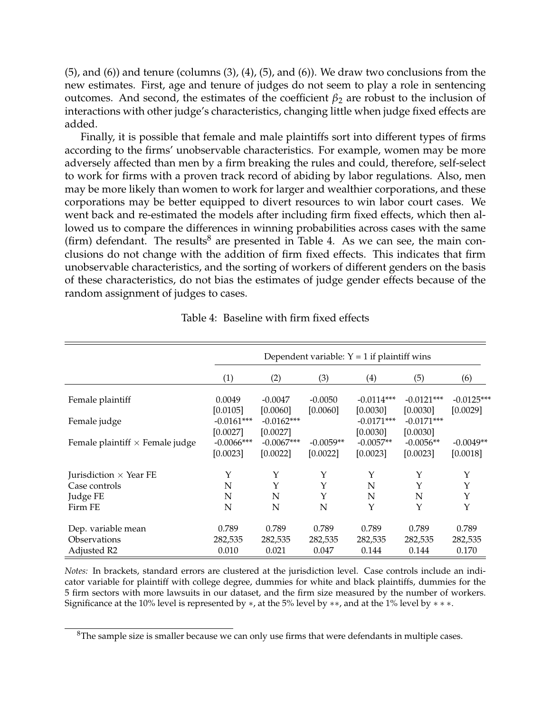$(5)$ , and  $(6)$ ) and tenure (columns  $(3)$ ,  $(4)$ ,  $(5)$ , and  $(6)$ ). We draw two conclusions from the new estimates. First, age and tenure of judges do not seem to play a role in sentencing outcomes. And second, the estimates of the coefficient  $\beta_2$  are robust to the inclusion of interactions with other judge's characteristics, changing little when judge fixed effects are added.

Finally, it is possible that female and male plaintiffs sort into different types of firms according to the firms' unobservable characteristics. For example, women may be more adversely affected than men by a firm breaking the rules and could, therefore, self-select to work for firms with a proven track record of abiding by labor regulations. Also, men may be more likely than women to work for larger and wealthier corporations, and these corporations may be better equipped to divert resources to win labor court cases. We went back and re-estimated the models after including firm fixed effects, which then allowed us to compare the differences in winning probabilities across cases with the same (firm) defendant. The results $<sup>8</sup>$  $<sup>8</sup>$  $<sup>8</sup>$  are presented in Table [4.](#page-8-1) As we can see, the main con-</sup> clusions do not change with the addition of firm fixed effects. This indicates that firm unobservable characteristics, and the sorting of workers of different genders on the basis of these characteristics, do not bias the estimates of judge gender effects because of the random assignment of judges to cases.

<span id="page-8-1"></span>

|                                        | Dependent variable: $Y = 1$ if plaintiff wins |                                      |                         |                                      |                                      |                         |
|----------------------------------------|-----------------------------------------------|--------------------------------------|-------------------------|--------------------------------------|--------------------------------------|-------------------------|
|                                        | (1)                                           | (2)                                  | (3)                     | (4)                                  | (5)                                  | (6)                     |
| Female plaintiff                       | 0.0049                                        | $-0.0047$                            | $-0.0050$               | $-0.0114***$                         | $-0.0121***$                         | $-0.0125***$            |
| Female judge                           | [0.0105]<br>$-0.0161***$<br>[0.0027]          | [0.0060]<br>$-0.0162***$<br>[0.0027] | [0.0060]                | [0.0030]<br>$-0.0171***$<br>[0.0030] | [0.0030]<br>$-0.0171***$<br>[0.0030] | [0.0029]                |
| Female plaintiff $\times$ Female judge | $-0.0066$ ***<br>[0.0023]                     | $-0.0067***$<br>[0.0022]             | $-0.0059**$<br>[0.0022] | $-0.0057**$<br>[0.0023]              | $-0.0056**$<br>[0.0023]              | $-0.0049**$<br>[0.0018] |
| Jurisdiction $\times$ Year FE          | Y                                             | Υ                                    | Y                       | Y                                    | Υ                                    | Y                       |
| Case controls                          | N                                             | Y                                    | Y                       | N                                    | Y                                    | Y                       |
| Judge FE                               | N                                             | N                                    | Υ                       | N                                    | N                                    | Υ                       |
| Firm FE                                | N                                             | N                                    | N                       | Y                                    | Y                                    | Y                       |
| Dep. variable mean                     | 0.789                                         | 0.789                                | 0.789                   | 0.789                                | 0.789                                | 0.789                   |
| Observations                           | 282,535                                       | 282,535                              | 282,535                 | 282,535                              | 282,535                              | 282,535                 |
| Adjusted R2                            | 0.010                                         | 0.021                                | 0.047                   | 0.144                                | 0.144                                | 0.170                   |

Table 4: Baseline with firm fixed effects

*Notes:* In brackets, standard errors are clustered at the jurisdiction level. Case controls include an indicator variable for plaintiff with college degree, dummies for white and black plaintiffs, dummies for the 5 firm sectors with more lawsuits in our dataset, and the firm size measured by the number of workers. Significance at the 10% level is represented by  $*$ , at the 5% level by  $**$ , and at the 1% level by  $***$ .

<span id="page-8-0"></span><sup>&</sup>lt;sup>8</sup>The sample size is smaller because we can only use firms that were defendants in multiple cases.